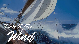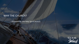## WHY THE CHURCH?

- Founded by the Holy Spirit (Acts2)

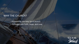## WHY THE CHURCH?

- Founded by the Holy Spirit (Acts2) - To Perpetuate Faith, Hope, and Love

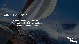#### WHY THE CHURCH?

- Founded by the Holy Spirit (Acts2) - To Perpetuate Faith, Hope, and Love - To Provide Like-minded Community

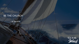## BE THE CHURCH

- In Service

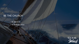# BE THE CHURCH

- In Service
- In Self-sacrifice

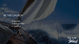# BE THE CHURCH

- In Service - In Self-sacrifice
- -To Sacrifice

Tack to the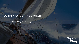## DO THE WORK OF THE CHURCH

- Assembling & Growing

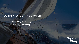# DO THE WORK OF THE CHURCH

- Assembling & Growing

- Practicing & Modeling

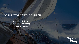# DO THE WORK OF THE CHURCH

- Assembling & Growing - Practicing & Modeling

- Teaching & Training

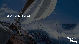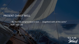- Be "rooted and grounded in love . . . [together] with all the saints" (Eph. 3:17–18)

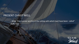- Walk "in a manner worthy of the calling with which [we] have been called" (Eph. 4:1)

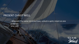- Maintain "the same mind and love, united in spirit, intent on one purpose" (Phil. 2:2)

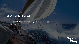- Regard others as more important than ourselves  $(Phil 2:3, 4)$ 

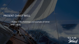- Follow in the footsteps and example of Christ (Phil. 2:5–8)